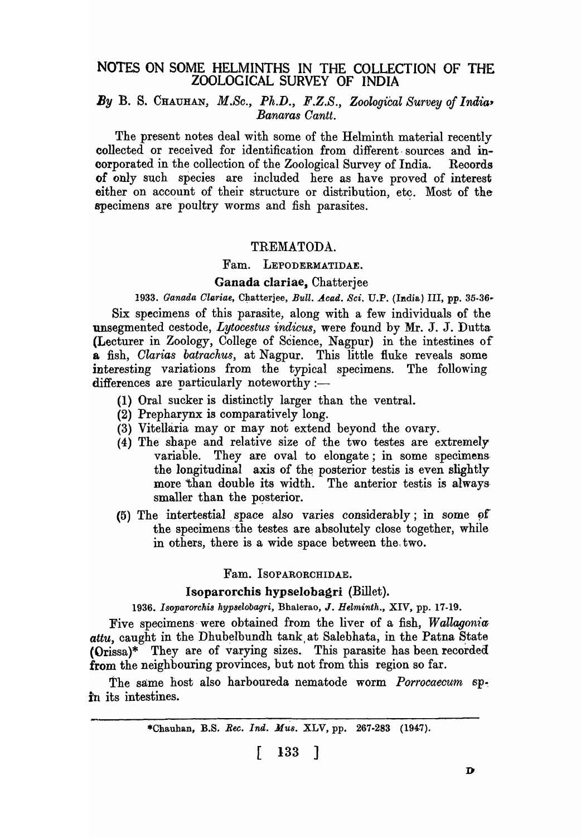# NOTES ON SOME HELMINTHS IN THE COLLECTION OF THE ZOOLOGICAL SURVEY OF INDIA

# By B. S. CHAUHAN, M.Sc., Ph.D., F.Z.S., Zoological Survey of India-*Banaras Cantt.*

The present notes deal with some of the Helminth material recently collected or received for identification from different· sources and incorporated in the collection of the Zoological Survey of India. Reoords of only such species are included here as have proved of interest either on account of their structure or distribution, etc. Most of the specimens are poultry worms and fish parasites.

#### TREMATODA.

#### Fam. LEPODERMATIDAE.

# Ganada clariae, Chatterjee

1933. Ganada Clariae, Chatterjee, *Bull. Acad. Sci. U.P.* (India) III, pp. 35-36-Six specimens of this parasite, along with a few individuals of the unsegmented cestode, *Lytocestus indicus,* were found by Mr. J. J. Dutta (Lecturer in Zoology, College of Science, Nagpur) in the intestines of a fish, *Clarias batrachus,* at Nagpur. This little fluke reveals some interesting variations from the typical specimens. The following

- (1) Oral sucker is distinctly larger than the ventral.
- (2) Prepharynx is comparatively long.

differences are particularly noteworthy :-

- (3) Vitellaria mayor may not extend beyond the ovary.
- (4) The shape and relative size of the two testes are extremely variable. They are oval to elongate; in some specimens. the longitudinal axis of the posterior testis is even slightly more than double its width. The anterior testis is always smaller than the posterior.
- $(5)$  The intertestial space also varies considerably; in some of the specimens the testes are absolutely close together, while in others, there is a wide space between the. two.

## Fam. ISOPARORCHIDAE.

#### Isoparorchis hypselobagri (Billet).

1936. Isoparorchis hypselobagri, Bhalerao, J. *Helminth.*, XIV, pp. 17-19.

Five specimens· were obtained from the liver of a fish, *Wallagonia*  attu, caught in the Dhubelbundh tank at Salebhata, in the Patna State (Orissa)\* They are of varying sizes. This parasite has been recorded from the neighbouring provinces, but not from this region so far.

The same host also harboureda nematode worm *Porrocaecum* spin its intestines.

\*Chauhan, B.S. *Rec. Ind. Mus. XLV*, pp. 267-283 (1947).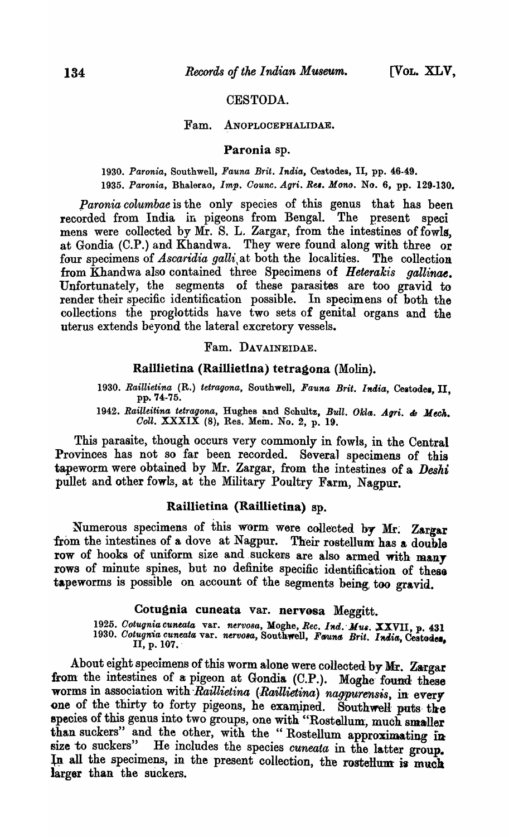# CESTODA.

# Fam. ANOPLOCEPHALIDAE.

# Paronia sp.

*1930. Paronia,* Southwell, *Fauna Brit. India,* Cestodes, II, pp. 46-49. 1935. Paronia, Bhalerao, *Imp. Counc. Agri. Res. Mono.* No. 6, pp. 129-130.

*paronia columbae* is the only species of this genus that has been recorded from India in pigeons from Bengal. The present speci mens were collected by  $\overline{Mr}$ . S. L. Zargar, from the intestines of fowls. at Gondia (C.P.) and Khandwa. They were found along with three or four specimens of *Ascaridia galli*, at both the localities. The collection from Khandwa also contained three Specimens of *Heterakis gallinae.*  Unfortunately, the segments of these parasites are too gravid to render their specific identification possible. In specimens of both the collections the proglottids have two sets of genital organs and the uterus extends beyond the lateral excretory vessels.

Fam. DAVAINEIDAE.

## Raillietina (Raillietina) tetragona (Molin).

1930. Raillietina (R.) tetragona, Southwell, Fauna Brit. India, Cestodes. II. pp. 74-75.

1942. Railleitina tetragona, Hughes and Schultz, Bull. Okla. Agri. & Mech. *Goll.* XXXIX (8), Res. Mem. No.2, p. 19.

This parasite, though occurs very commonly in fowls, in the Central Provinces has not so far been recorded. Several specimens of this tapeworm were obtained by Mr. Zargar, from the intestines of a *Deshi*  pullet and other fowls, at the Military Poultry Farm, Nagpur.

# Raillietina (Raillietina) ap.

Numerous specimens of this worm were collected by Mr. Zargar from the intestines of a dove at Nagpur. Their rostellum has a double row of hooks of uniform size and suckers are also armed with many rows of minute spines, but no definite specific identification of these tapeworms is possible on account of the segments being too gravid.

# Cotugnia cuneata var. nervosa Meggitt.

1925. *Cotugnia cuneata* var. *nervosa, Moghe, Rec. Ind. Mus. XXVII, p. 431* 1930. *Cotugnia cuneata var. nervosa,* Southwell, *Fauna Brit. India*, Cestoden, II, p. 107.

About eight specimens of this worm alone were collected by Mr. Zargar from the intestines of a pigeon at Gondia (C.P.). Moghe found these worms in association with Raillietina (Raillietina) nagpurensis, in every one of the thirty to forty pigeons, he examined. Southwell puts the species of this genus into two groups, one with "Rostellum, much smaller than suckers" and the other, with the "Rostellum approximating in size to suckers" He includes the species *cuneata* in the letter group He includes the species *cuneata* in the latter group. In all the specimens, in the present collection, the rosteHum is much larger than the suckers.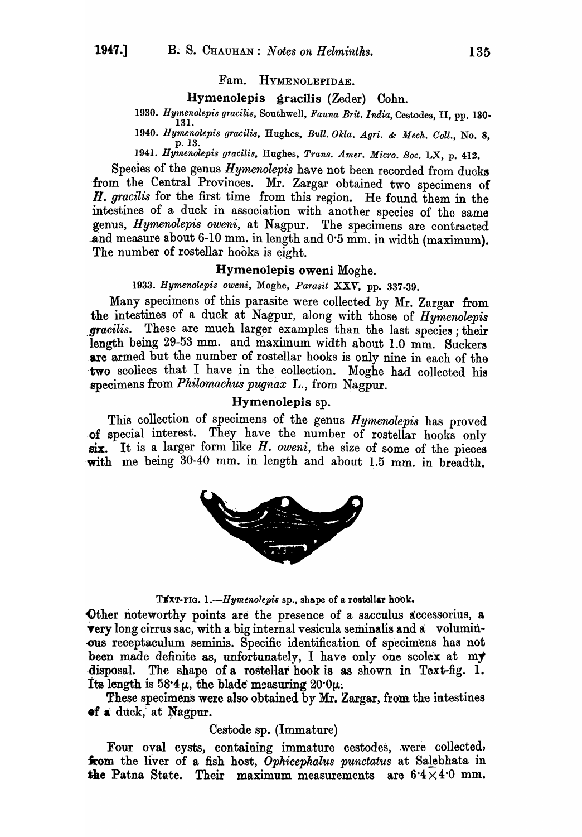#### Fam. HYMENOLEPIDAE.

# Hymenolepis gracilis (Zeder) Cohn.

*1930. Hymenolepis g'racilis,* Southwell, *Fauna Brit. India,* Cestodes, II, pp. 130- 131.

*1940. Hymenolepis gracilis,* Hughes, *Bull. Okla. Agri.* &: *Meek. Goll.,* No.8, p.13.

1941. *Hymenolepis gracilis,* Hughes, *Trans. Amer. Micro. Soc.* LX, p. 412.

Species of the genus *Hymenolepis* have not been recorded from ducks from the Central Provinces. Mr. Zargar obtained two specimens of *H. gracilis* for the first time from this region. He found them in the intestines of a duck in association with another species of the same genus, *Hymenolepis oweni,* at Nagpur. The specimens are contracted .and measure about 6-10 mm. in length and 0·5 mm. in width (maximum). The number of rostellar hooks is eight.

#### Hymenolepis oweni Moghe.

*1933. Hymenolepis oweni,* Moghe, *Parasit XXV,* pp. 337-39.

Many specimens of this parasite were collected by Mr. Zargar from the intestines of a duck at Nagpur, along with those of *Hymenolepis*  gracilis. These are much larger examples than the last species; their length being 29-53 mm. and maximum width about 1.0 mm. Suckers are armed but the number of rostellar hooks is only nine in each of the two scolices that I have in the collection. Moghe had collected his specimens from *Philomachus pugnax* L., from Nagpur.

#### Hymenolepis sp.

This collection of specimens of the genus *Hymenolepis* has proved -of special interest. They have the number of rostellar hooks only six. It is a larger form like *H. oweni,* the size of some of the pieces -with me being 30-40 mm. in length and about 1.5 mm. in breadth.



TEXT-FIG. 1.-Hymenolepis sp., shape of a rostellar hook.

Other noteworthy points are the presence of a sacculus accessorius, a **very** long cirrus sac, with a big internal vesicula seminalis and a voluminous receptaculum seminis. Specific identification of specimens has not been made definite as, unfortunately, I have only one scolex at my disposal. The shape of a rostellar hook is as shown in Text-fig. 1. Its length is  $58.4 \mu$ , the blade measuring  $20.0 \mu$ .

These specimens were also obtained by Mr. Zargar, from the intestines of a duck, at Nagpur.

#### Cestode sp. (Immature)

Four oval cysts, containing immature cestodes, were collected, **from** the liver of a fish host, *Ophicephalus punctatus* at Salebhata in the Patna State. Their maximum measurements are  $6.4 \times 4.0$  mm.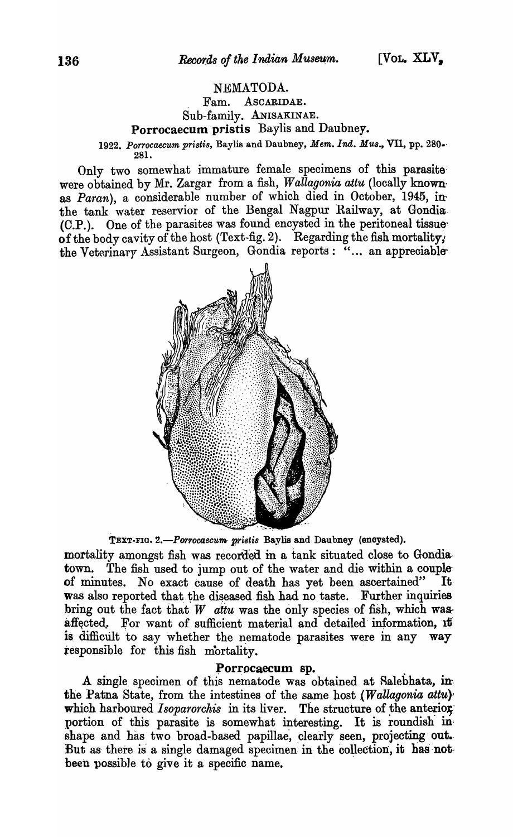# NEMATODA.

. Fam. ASCARIDAE. Sub-family. ANISAKINAE.

Porrocaecum pristis Baylis and Daubney.

*1922. porrocaecum pristis,* Baylis and Daubney, *Mem. Ind. Mus.,* VII, pp. 280.· 28l.

Only two somewhat immature female specimens of this parasite' were obtained by Mr. Zargar from a fish, *Wallagonia attu* (locally knownas *Paran*), a considerable number of which died in October, 1945, inthe tank water reservior of the Bengal Nagpur Railway, at Gondia· (C.P.). One of the parasites was found encysted in the peritoneal tissue of the body cavity of the host (Text-fig. 2). Regarding the fish mortality, the Veterinary Assistant Surgeon, Gondia reports: "... an appreciable-



TEXT-FIG. 2.-Porrocaecum pristis Baylis and Daubney (encysted).

mortality amongst fish was recorded in a tank situated close to Gondiatown. The fish used to jump out of the water and die within a couple' of minutes. No exact cause of death has yet been ascertained" It· was also reported that the diseased fish had no taste. Further inquiries bring out the fact that  $W$  attu was the only species of fish, which wasaffected. For want of sufficient material and detailed information, it is difficult to say whether the nematode parasites were in any way tesponsible for this fish mortality.

~orrocaecum sp. . . A single specimen of this nematode was obtained at Aalebhata, in. the Patna State, from the intestines of the same host  $(Wallagonia$  attu) which harboured *Isoparorchis* in its liver. The structure of the anterior portion of this parasite is somewhat interesting. It is roundish in shape and has two broad-based papillae, clearly seen, projecting out. But as there is a single damaged specimen in the collection, it has notbeen possible to give it a specific name.